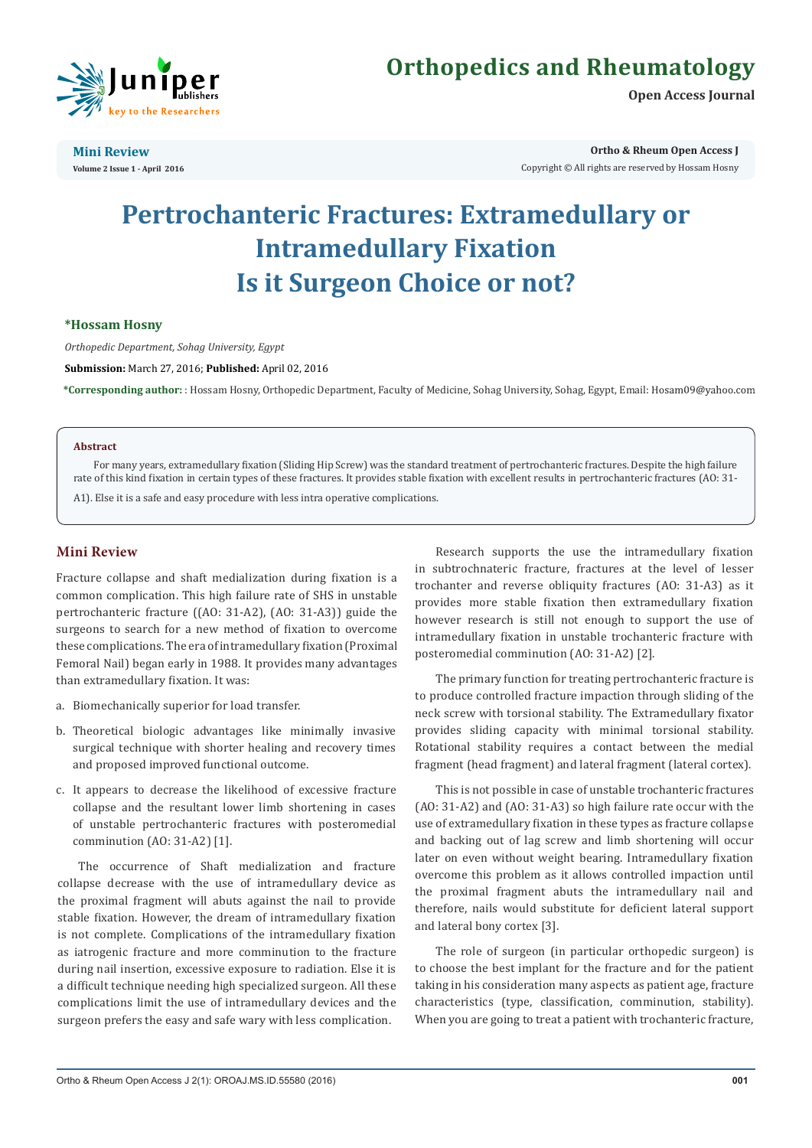

**Open Access Journal**



**Mini Review Volume 2 Issue 1 - April 2016** **Ortho & Rheum Open Access J**

Copyright © All rights are reserved by Hossam Hosny

# **Pertrochanteric Fractures: Extramedullary or Intramedullary Fixation Is it Surgeon Choice or not?**

## **\*Hossam Hosny**

*Orthopedic Department, Sohag University, Egypt*

**Submission:** March 27, 2016; **Published:** April 02, 2016

**\*Corresponding author:** : Hossam Hosny, Orthopedic Department, Faculty of Medicine, Sohag University, Sohag, Egypt, Email:

#### **Abstract**

For many years, extramedullary fixation (Sliding Hip Screw) was the standard treatment of pertrochanteric fractures. Despite the high failure rate of this kind fixation in certain types of these fractures. It provides stable fixation with excellent results in pertrochanteric fractures (AO: 31- A1). Else it is a safe and easy procedure with less intra operative complications.

# **Mini Review**

Fracture collapse and shaft medialization during fixation is a common complication. This high failure rate of SHS in unstable pertrochanteric fracture ((AO: 31-A2), (AO: 31-A3)) guide the surgeons to search for a new method of fixation to overcome these complications. The era of intramedullary fixation (Proximal Femoral Nail) began early in 1988. It provides many advantages than extramedullary fixation. It was:

- a. Biomechanically superior for load transfer.
- b. Theoretical biologic advantages like minimally invasive surgical technique with shorter healing and recovery times and proposed improved functional outcome.
- c. It appears to decrease the likelihood of excessive fracture collapse and the resultant lower limb shortening in cases of unstable pertrochanteric fractures with posteromedial comminution (AO: 31-A2) [1].

The occurrence of Shaft medialization and fracture collapse decrease with the use of intramedullary device as the proximal fragment will abuts against the nail to provide stable fixation. However, the dream of intramedullary fixation is not complete. Complications of the intramedullary fixation as iatrogenic fracture and more comminution to the fracture during nail insertion, excessive exposure to radiation. Else it is a difficult technique needing high specialized surgeon. All these complications limit the use of intramedullary devices and the surgeon prefers the easy and safe wary with less complication.

Research supports the use the intramedullary fixation in subtrochnateric fracture, fractures at the level of lesser trochanter and reverse obliquity fractures (AO: 31-A3) as it provides more stable fixation then extramedullary fixation however research is still not enough to support the use of intramedullary fixation in unstable trochanteric fracture with posteromedial comminution (AO: 31-A2) [2].

The primary function for treating pertrochanteric fracture is to produce controlled fracture impaction through sliding of the neck screw with torsional stability. The Extramedullary fixator provides sliding capacity with minimal torsional stability. Rotational stability requires a contact between the medial fragment (head fragment) and lateral fragment (lateral cortex).

This is not possible in case of unstable trochanteric fractures (AO: 31-A2) and (AO: 31-A3) so high failure rate occur with the use of extramedullary fixation in these types as fracture collapse and backing out of lag screw and limb shortening will occur later on even without weight bearing. Intramedullary fixation overcome this problem as it allows controlled impaction until the proximal fragment abuts the intramedullary nail and therefore, nails would substitute for deficient lateral support and lateral bony cortex [3].

The role of surgeon (in particular orthopedic surgeon) is to choose the best implant for the fracture and for the patient taking in his consideration many aspects as patient age, fracture characteristics (type, classification, comminution, stability). When you are going to treat a patient with trochanteric fracture,